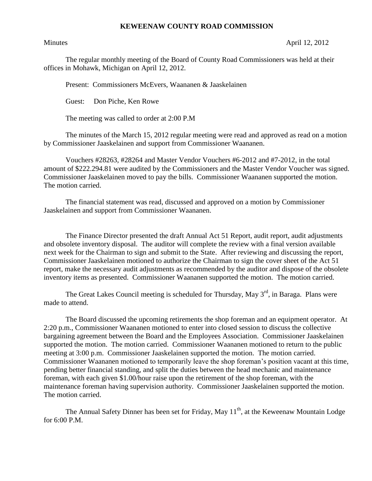## **KEWEENAW COUNTY ROAD COMMISSION**

Minutes April 12, 2012

The regular monthly meeting of the Board of County Road Commissioners was held at their offices in Mohawk, Michigan on April 12, 2012.

Present: Commissioners McEvers, Waananen & Jaaskelainen

Guest: Don Piche, Ken Rowe

The meeting was called to order at 2:00 P.M

The minutes of the March 15, 2012 regular meeting were read and approved as read on a motion by Commissioner Jaaskelainen and support from Commissioner Waananen.

Vouchers #28263, #28264 and Master Vendor Vouchers #6-2012 and #7-2012, in the total amount of \$222.294.81 were audited by the Commissioners and the Master Vendor Voucher was signed. Commissioner Jaaskelainen moved to pay the bills. Commissioner Waananen supported the motion. The motion carried.

The financial statement was read, discussed and approved on a motion by Commissioner Jaaskelainen and support from Commissioner Waananen.

The Finance Director presented the draft Annual Act 51 Report, audit report, audit adjustments and obsolete inventory disposal. The auditor will complete the review with a final version available next week for the Chairman to sign and submit to the State. After reviewing and discussing the report, Commissioner Jaaskelainen motioned to authorize the Chairman to sign the cover sheet of the Act 51 report, make the necessary audit adjustments as recommended by the auditor and dispose of the obsolete inventory items as presented. Commissioner Waananen supported the motion. The motion carried.

The Great Lakes Council meeting is scheduled for Thursday, May 3<sup>rd</sup>, in Baraga. Plans were made to attend.

The Board discussed the upcoming retirements the shop foreman and an equipment operator. At 2:20 p.m., Commissioner Waananen motioned to enter into closed session to discuss the collective bargaining agreement between the Board and the Employees Association. Commissioner Jaaskelainen supported the motion. The motion carried. Commissioner Waananen motioned to return to the public meeting at 3:00 p.m. Commissioner Jaaskelainen supported the motion. The motion carried. Commissioner Waananen motioned to temporarily leave the shop foreman's position vacant at this time, pending better financial standing, and split the duties between the head mechanic and maintenance foreman, with each given \$1.00/hour raise upon the retirement of the shop foreman, with the maintenance foreman having supervision authority. Commissioner Jaaskelainen supported the motion. The motion carried.

The Annual Safety Dinner has been set for Friday, May  $11<sup>th</sup>$ , at the Keweenaw Mountain Lodge for  $6:00$  P.M.